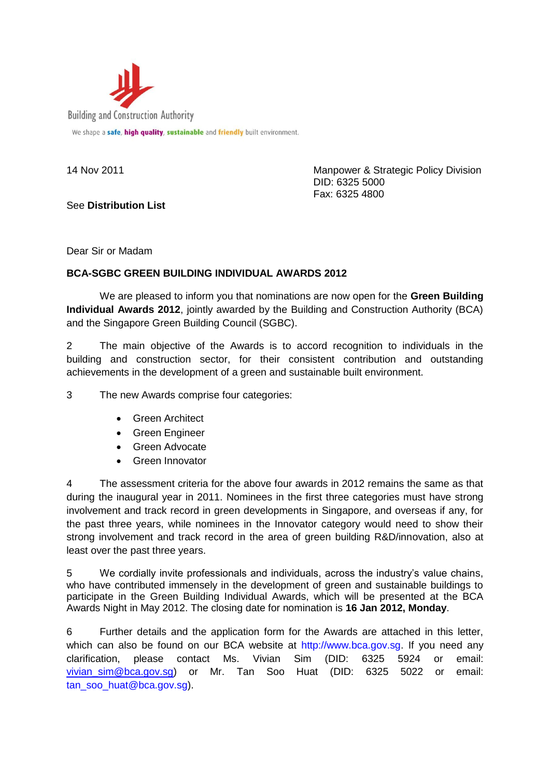

See **Distribution List**

14 Nov 2011 Manpower & Strategic Policy Division DID: 6325 5000 Fax: 6325 4800

Dear Sir or Madam

## **BCA-SGBC GREEN BUILDING INDIVIDUAL AWARDS 2012**

We are pleased to inform you that nominations are now open for the **Green Building Individual Awards 2012.** jointly awarded by the Building and Construction Authority (BCA) and the Singapore Green Building Council (SGBC).

2 The main objective of the Awards is to accord recognition to individuals in the building and construction sector, for their consistent contribution and outstanding achievements in the development of a green and sustainable built environment.

3 The new Awards comprise four categories:

- **•** Green Architect
- **•** Green Engineer
- Green Advocate
- Green Innovator

4 The assessment criteria for the above four awards in 2012 remains the same as that during the inaugural year in 2011. Nominees in the first three categories must have strong involvement and track record in green developments in Singapore, and overseas if any, for the past three years, while nominees in the Innovator category would need to show their strong involvement and track record in the area of green building R&D/innovation, also at least over the past three years.

5 We cordially invite professionals and individuals, across the industry's value chains, who have contributed immensely in the development of green and sustainable buildings to participate in the Green Building Individual Awards, which will be presented at the BCA Awards Night in May 2012. The closing date for nomination is **16 Jan 2012, Monday**.

6 Further details and the application form for the Awards are attached in this letter, which can also be found on our BCA website at [http://www.bca.gov.sg.](http://www.bca.gov.sg/) If you need any clarification, please contact Ms. Vivian Sim (DID: 6325 5924 or email: vivian sim@bca.gov.sg) or Mr. Tan Soo Huat (DID: 6325 5022 or email: tan\_soo\_huat@bca.gov.sg).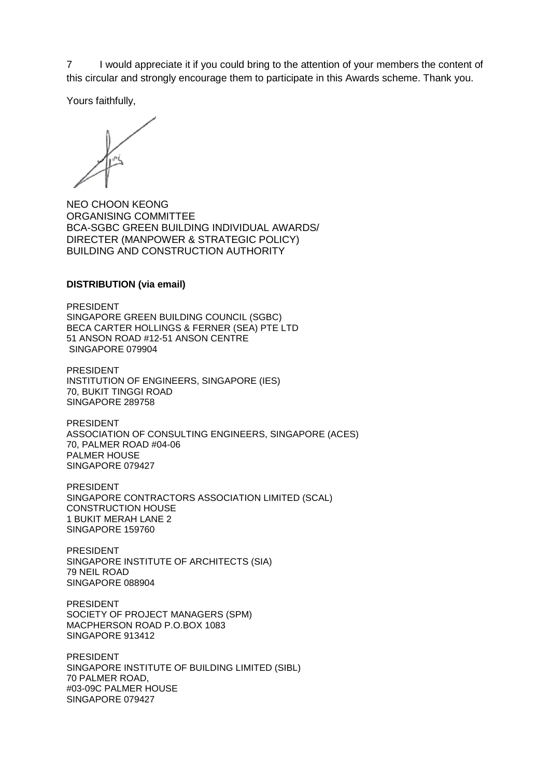7 I would appreciate it if you could bring to the attention of your members the content of this circular and strongly encourage them to participate in this Awards scheme. Thank you.

Yours faithfully,

NEO CHOON KEONG ORGANISING COMMITTEE BCA-SGBC GREEN BUILDING INDIVIDUAL AWARDS/ DIRECTER (MANPOWER & STRATEGIC POLICY) BUILDING AND CONSTRUCTION AUTHORITY

## **DISTRIBUTION (via email)**

PRESIDENT SINGAPORE GREEN BUILDING COUNCIL (SGBC) BECA CARTER HOLLINGS & FERNER (SEA) PTE LTD 51 ANSON ROAD #12-51 ANSON CENTRE SINGAPORE 079904

PRESIDENT INSTITUTION OF ENGINEERS, SINGAPORE (IES) 70, BUKIT TINGGI ROAD SINGAPORE 289758

PRESIDENT ASSOCIATION OF CONSULTING ENGINEERS, SINGAPORE (ACES) 70, PALMER ROAD #04-06 PALMER HOUSE SINGAPORE 079427

PRESIDENT SINGAPORE CONTRACTORS ASSOCIATION LIMITED (SCAL) CONSTRUCTION HOUSE 1 BUKIT MERAH LANE 2 SINGAPORE 159760

PRESIDENT SINGAPORE INSTITUTE OF ARCHITECTS (SIA) 79 NEIL ROAD SINGAPORE 088904

PRESIDENT SOCIETY OF PROJECT MANAGERS (SPM) MACPHERSON ROAD P.O.BOX 1083 SINGAPORE 913412

PRESIDENT SINGAPORE INSTITUTE OF BUILDING LIMITED (SIBL) 70 PALMER ROAD, #03-09C PALMER HOUSE SINGAPORE 079427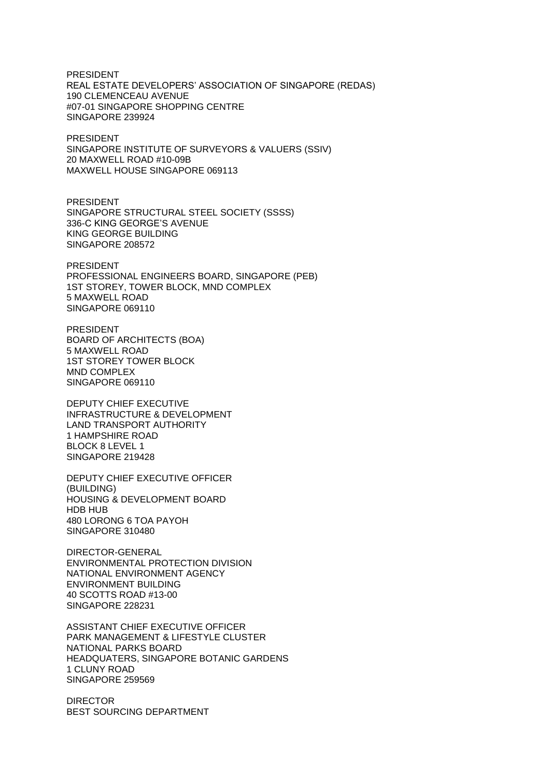PRESIDENT REAL ESTATE DEVELOPERS' ASSOCIATION OF SINGAPORE (REDAS) 190 CLEMENCEAU AVENUE #07-01 SINGAPORE SHOPPING CENTRE SINGAPORE 239924

PRESIDENT SINGAPORE INSTITUTE OF SURVEYORS & VALUERS (SSIV) 20 MAXWELL ROAD #10-09B MAXWELL HOUSE SINGAPORE 069113

PRESIDENT SINGAPORE STRUCTURAL STEEL SOCIETY (SSSS) 336-C KING GEORGE'S AVENUE KING GEORGE BUILDING SINGAPORE 208572

PRESIDENT PROFESSIONAL ENGINEERS BOARD, SINGAPORE (PEB) 1ST STOREY, TOWER BLOCK, MND COMPLEX 5 MAXWELL ROAD SINGAPORE 069110

PRESIDENT BOARD OF ARCHITECTS (BOA) 5 MAXWELL ROAD 1ST STOREY TOWER BLOCK MND COMPLEX SINGAPORE 069110

DEPUTY CHIEF EXECUTIVE INFRASTRUCTURE & DEVELOPMENT LAND TRANSPORT AUTHORITY 1 HAMPSHIRE ROAD BLOCK 8 LEVEL 1 SINGAPORE 219428

DEPUTY CHIEF EXECUTIVE OFFICER (BUILDING) HOUSING & DEVELOPMENT BOARD HDB HUB 480 LORONG 6 TOA PAYOH SINGAPORE 310480

DIRECTOR-GENERAL ENVIRONMENTAL PROTECTION DIVISION NATIONAL ENVIRONMENT AGENCY ENVIRONMENT BUILDING 40 SCOTTS ROAD #13-00 SINGAPORE 228231

ASSISTANT CHIEF EXECUTIVE OFFICER PARK MANAGEMENT & LIFESTYLE CLUSTER NATIONAL PARKS BOARD HEADQUATERS, SINGAPORE BOTANIC GARDENS 1 CLUNY ROAD SINGAPORE 259569

DIRECTOR BEST SOURCING DEPARTMENT